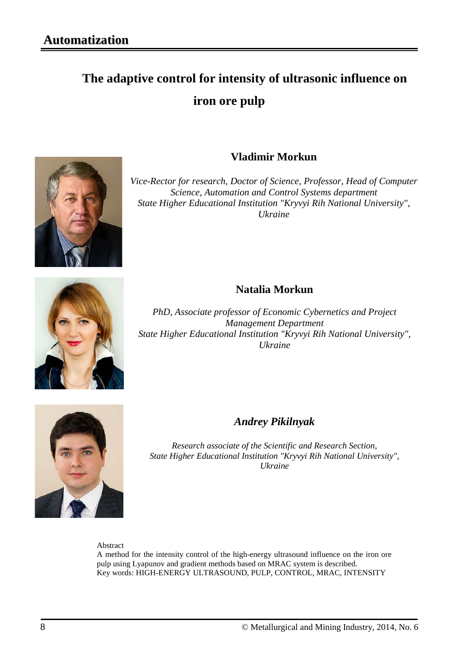# **The adaptive control for intensity of ultrasonic influence on iron ore pulp**



#### **Vladimir Morkun**

*Vice-Rector for research, Doctor of Science, Professor, Head of Computer Science, Automation and Control Systems department State Higher Educational Institution "Kryvyi Rih National University", Ukraine*



### **Natalia Morkun**

*PhD, Associate professor of Economic Cybernetics and Project Management Department State Higher Educational Institution "Kryvyi Rih National University", Ukraine*



#### *Andrey Pikilnyak*

*Research associate of the Scientific and Research Section, State Higher Educational Institution "Kryvyi Rih National University", Ukraine*

Abstract

A method for the intensity control of the high-energy ultrasound influence on the iron ore pulp using Lyapunov and gradient methods based on MRAC system is described. Key words: HIGH-ENERGY ULTRASOUND, PULP, CONTROL, MRAC, INTENSITY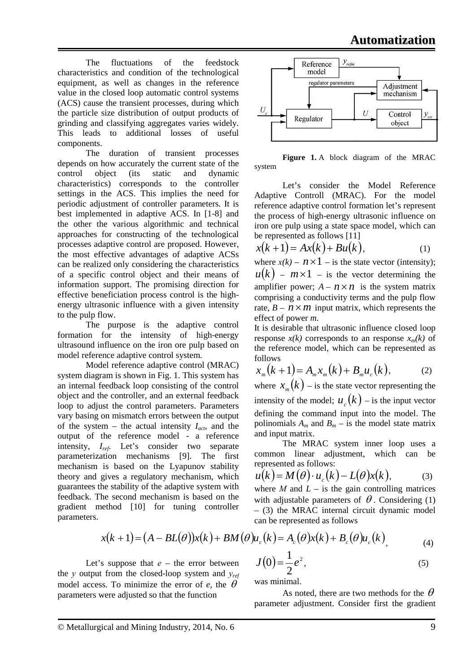The fluctuations of the feedstock characteristics and condition of the technological equipment, as well as changes in the reference value in the closed loop automatic control systems (ACS) cause the transient processes, during which the particle size distribution of output products of grinding and classifying aggregates varies widely. This leads to additional losses of useful components.

The duration of transient processes depends on how accurately the current state of the control object (its static and dynamic characteristics) corresponds to the controller settings in the ACS. This implies the need for periodic adjustment of controller parameters. It is best implemented in adaptive ACS. In [1-8] and the other the various algorithmic and technical approaches for constructing of the technological processes adaptive control are proposed. However, the most effective advantages of adaptive ACSs can be realized only considering the characteristics of a specific control object and their means of information support. The promising direction for effective beneficiation process control is the highenergy ultrasonic influence with a given intensity to the pulp flow.

The purpose is the adaptive control formation for the intensity of high-energy ultrasound influence on the iron ore pulp based on model reference adaptive control system.

Model reference adaptive control (MRAC) system diagram is shown in Fig. 1. This system has an internal feedback loop consisting of the control object and the controller, and an external feedback loop to adjust the control parameters. Parameters vary basing on mismatch errors between the output of the system – the actual intensity  $I_{act}$ , and the output of the reference model - a reference intensity, *Iref*. Let's consider two separate parameterization mechanisms [9]. The first mechanism is based on the Lyapunov stability theory and gives a regulatory mechanism, which guarantees the stability of the adaptive system with feedback. The second mechanism is based on the gradient method [10] for tuning controller parameters.



**Figure 1.** A block diagram of the MRAC system

Let's consider the Model Reference Adaptive Controll (MRAC). For the model reference adaptive control formation let's represent the process of high-energy ultrasonic influence on iron ore pulp using a state space model, which can be represented as follows [11]

$$
x(k+1) = Ax(k) + Bu(k), \tag{1}
$$

where  $x(k) - n \times 1$  – is the state vector (intensity);  $u(k)$  –  $m \times 1$  – is the vector determining the amplifier power:  $A - n \times n$  is the system matrix comprising a conductivity terms and the pulp flow rate,  $B - n \times m$  input matrix, which represents the effect of power *m*.

It is desirable that ultrasonic influence closed loop response  $x(k)$  corresponds to an response  $x_m(k)$  of the reference model, which can be represented as follows

$$
x_m(k+1) = A_m x_m(k) + B_m u_c(k), \tag{2}
$$

where  $x_m(k)$  – is the state vector representing the intensity of the model;  $u_a(k)$  – is the input vector defining the command input into the model. The polinomials  $A_m$  and  $B_m$  – is the model state matrix and input matrix.

The MRAC system inner loop uses a common linear adjustment, which can be represented as follows:

$$
u(k) = M(\theta) \cdot u_c(k) - L(\theta)x(k), \tag{3}
$$

where *M* and  $L -$  is the gain controlling matrices with adjustable parameters of  $\theta$ . Considering (1) – (3) the MRAC internal circuit dynamic model can be represented as follows

$$
x(k+1) = (A - BL(\theta))x(k) + BM(\theta)u_c(k) = A_c(\theta)x(k) + B_c(\theta)u_c(k)
$$
\n(4)

Let's suppose that  $e$  – the error between the *у* output from the closed-loop system and *уref* model access. To minimize the error of  $e$ , the  $\theta$ parameters were adjusted so that the function

2 was minimal.

 $(0) = \frac{1}{2}e^2$ 

As noted, there are two methods for the  $\theta$ parameter adjustment. Consider first the gradient

 $J(0) = \frac{1}{2}e^2$ , (5)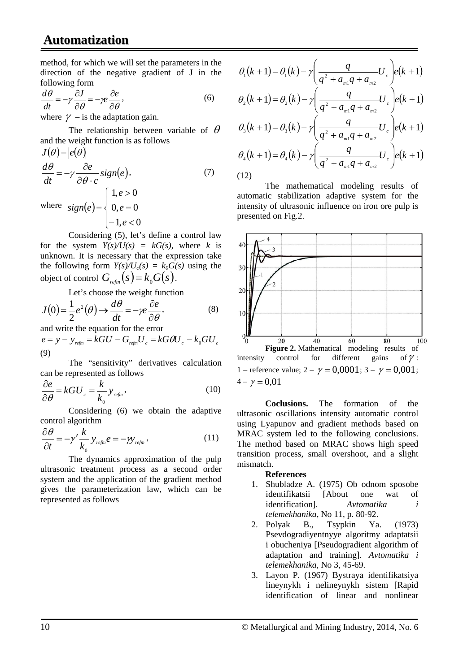## **Automatization**

method, for which we will set the parameters in the direction of the negative gradient of J in the following form

$$
\frac{d\theta}{dt} = -\gamma \frac{\partial J}{\partial \theta} = -\gamma e \frac{\partial e}{\partial \theta},
$$
\n(6)

where  $\gamma$  – is the adaptation gain.

The relationship between variable of  $\theta$ and the weight function is as follows

$$
J(\theta) = |e(\theta)|
$$
  
\n
$$
\frac{d\theta}{dt} = -\gamma \frac{\partial e}{\partial \theta \cdot c} sign(e),
$$
  
\nwhere  $sign(e) = \begin{cases} 1, e > 0 \\ 0, e = 0 \\ -1, e < 0 \end{cases}$  (7)

Considering (5), let's define a control law for the system  $Y(s)/U(s) = kG(s)$ , where *k* is unknown. It is necessary that the expression take the following form  $Y(s)/U_c(s) = k_0G(s)$  using the object of control  $G_{\text{refm}}(s) = k_0 G(s)$ .

Let's choose the weight function

$$
J(0) = \frac{1}{2}e^{2}(\theta) \rightarrow \frac{d\theta}{dt} = -\gamma e \frac{\partial e}{\partial \theta},
$$
 (8)

and write the equation for the error

 $e = y - y_{refm} = kGU - G_{refm}U_{c} = kG\theta U_{c} - k_{0}GU_{c}$ (9)

The "sensitivity" derivatives calculation can be represented as follows

$$
\frac{\partial e}{\partial \theta} = kGU_c = \frac{k}{k_0} y_{\text{refm}},
$$
\n(10)

Considering (6) we obtain the adaptive control algorithm

$$
\frac{\partial \theta}{\partial t} = -\gamma' \frac{k}{k_0} y_{\text{refm}} e = -\gamma y_{\text{refm}} , \qquad (11)
$$

The dynamics approximation of the pulp ultrasonic treatment process as a second order system and the application of the gradient method gives the parameterization law, which can be represented as follows

$$
\theta_1(k+1) = \theta_1(k) - \gamma \left(\frac{q}{q^2 + a_{m1}q + a_{m2}}U_c\right) e(k+1)
$$

$$
\theta_2(k+1) = \theta_2(k) - \gamma \left(\frac{q}{q^2 + a_{m2}q + a_{m2}}U_c\right) e(k+1)
$$

$$
\theta_3(k+1) = \theta_3(k) - \gamma \left( \frac{q}{q^2 + a_{m1}q + a_{m2}} U_c \right) e(k+1)
$$

$$
\theta_{4}(k+1) = \theta_{4}(k) - \gamma \left(\frac{q}{q^{2} + a_{m1}q + a_{m2}}U_{c}\right) e(k+1)
$$
\n(12)

The mathematical modeling results of automatic stabilization adaptive system for the intensity of ultrasonic influence on iron ore pulp is presented on Fig.2.



**Coclusions.** The formation of the ultrasonic oscillations intensity automatic control using Lyapunov and gradient methods based on MRAC system led to the following conclusions. The method based on MRAC shows high speed transition process, small overshoot, and a slight mismatch.

#### **References**

- 1. Shubladze A. (1975) Ob odnom sposobe identifikatsii [About one wat of identification]. *Avtomatika i telemekhanika*, No 11, p. 80-92.
- 2. Polyak B., Tsypkin Ya. (1973) Psevdogradiyentnyye algoritmy adaptatsii i obucheniya [Pseudogradient algorithm of adaptation and training]. *Avtomatika i telemekhanika*, No 3, 45-69.
- 3. Layon P. (1967) Bystraya identifikatsiya lineynykh i nelineynykh sistem [Rapid identification of linear and nonlinear